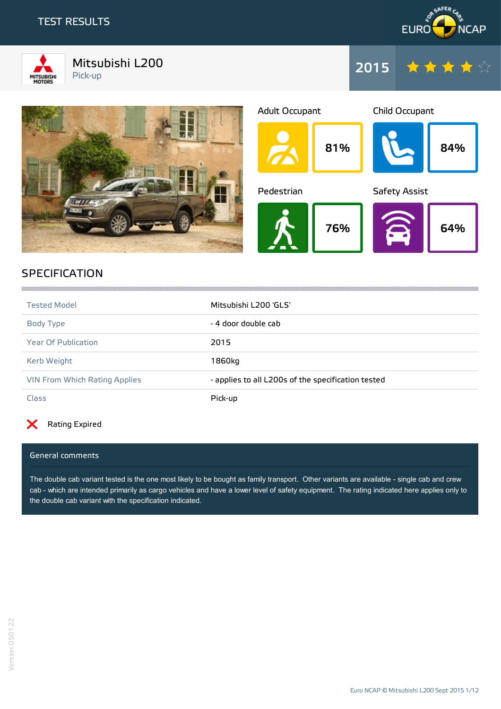### TEST RESULTS



Mitsubishi L200 Pick-up









## SPECIFICATION

| <b>Tested Model</b>                  | Mitsubishi L200 'GLS'                              |
|--------------------------------------|----------------------------------------------------|
| Body Type                            | - 4 door double cab                                |
| Year Of Publication                  | 2015                                               |
| Kerb Weight                          | 1860kg                                             |
| <b>VIN From Which Rating Applies</b> | - applies to all L200s of the specification tested |
| <b>Class</b>                         | Pick-up                                            |

the contract of the contract of the contract of the contract of the contract of the contract of the contract of

#### X Rating Expired

#### General comments

The double cab variant tested is the one most likely to be bought as family transport. Other variants are available - single cab and crew cab - which are intended primarily as cargo vehicles and have a lower level of safety equipment. The rating indicated here applies only to the double cab variant with the specification indicated.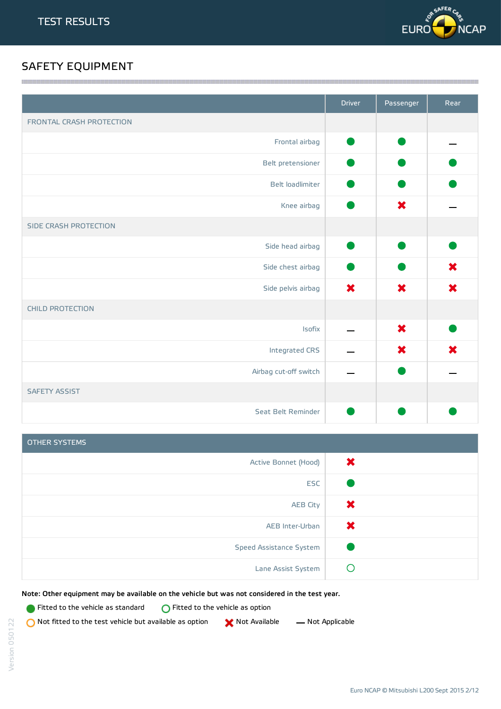

# SAFETY EQUIPMENT

|                          | <b>Driver</b>             | Passenger | Rear |
|--------------------------|---------------------------|-----------|------|
| FRONTAL CRASH PROTECTION |                           |           |      |
| Frontal airbag           |                           |           |      |
| Belt pretensioner        |                           |           |      |
| Belt loadlimiter         |                           |           |      |
| Knee airbag              |                           | ×         |      |
| SIDE CRASH PROTECTION    |                           |           |      |
| Side head airbag         |                           |           |      |
| Side chest airbag        |                           |           | ×    |
| Side pelvis airbag       | $\boldsymbol{\mathsf{x}}$ | $\bm{x}$  | ×    |
| <b>CHILD PROTECTION</b>  |                           |           |      |
| <b>Isofix</b>            |                           | ×         |      |
| Integrated CRS           |                           | ×         | ×    |
| Airbag cut-off switch    |                           |           |      |
| <b>SAFETY ASSIST</b>     |                           |           |      |
| Seat Belt Reminder       |                           |           |      |

<u> 1989 - Andrea Stadt Stadt Stadt Stadt Stadt Stadt Stadt Stadt Stadt Stadt Stadt Stadt Stadt Stadt Stadt Stadt Stadt Stadt Stadt Stadt Stadt Stadt Stadt Stadt Stadt Stadt Stadt Stadt Stadt Stadt Stadt Stadt Stadt Stadt St</u>

| OTHER SYSTEMS           |          |
|-------------------------|----------|
| Active Bonnet (Hood)    | $\bm{x}$ |
| <b>ESC</b>              |          |
| <b>AEB City</b>         | Х        |
| AEB Inter-Urban         | Х        |
| Speed Assistance System |          |
| Lane Assist System      |          |

Note: Other equipment may be available on the vehicle but was not considered in the test year.

**Fitted to the vehicle as standard**  $\bigcirc$  Fitted to the vehicle as option

 $\bigcirc$  Not fitted to the test vehicle but available as option  $\bigcirc$  Not Available  $\qquad$  Not Applicable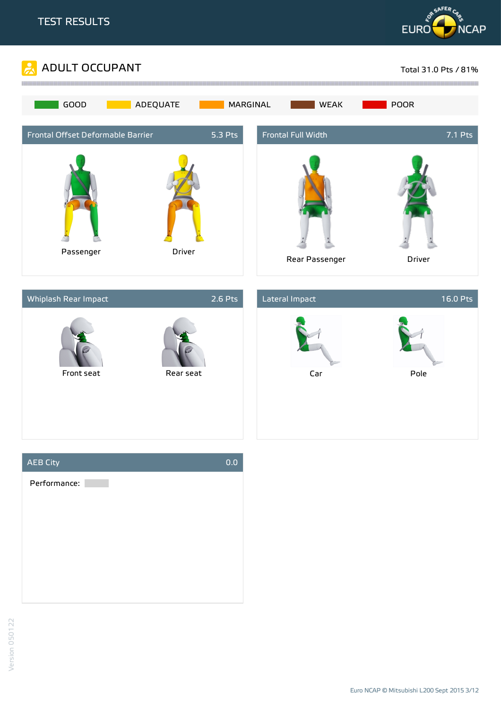







Euro NCAP © Mitsubishi L200 Sept 2015 3/12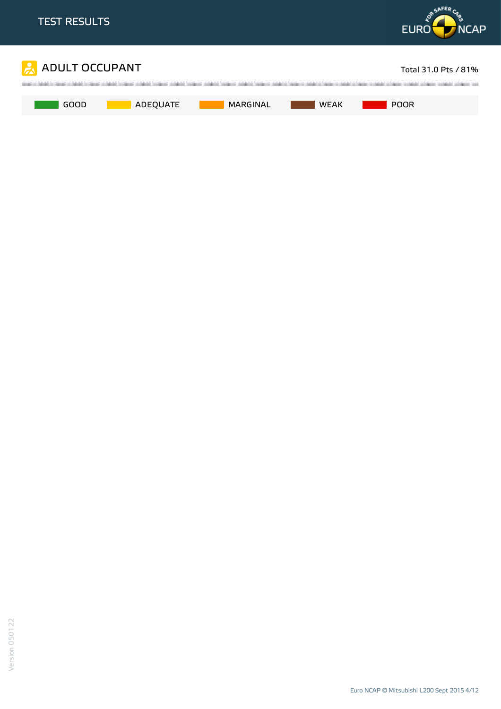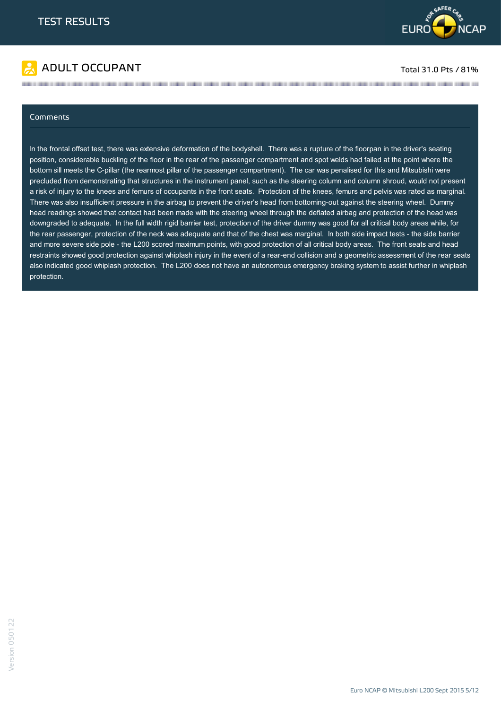



#### Comments

In the frontal offset test, there was extensive deformation of the bodyshell. There was a rupture of the floorpan in the driver's seating position, considerable buckling of the floor in the rear of the passenger compartment and spot welds had failed at the point where the bottom sill meets the C-pillar (the rearmost pillar of the passenger compartment). The car was penalised for this and Mitsubishi were precluded from demonstrating that structures in the instrument panel, such as the steering column and column shroud, would not present a risk of injury to the knees and femurs of occupants in the front seats. Protection of the knees, femurs and pelvis was rated as marginal. There was also insufficient pressure in the airbag to prevent the driver's head from bottoming-out against the steering wheel. Dummy head readings showed that contact had been made with the steering wheel through the deflated airbag and protection of the head was downgraded to adequate. In the full width rigid barrier test, protection of the driver dummy was good for all critical body areas while, for the rear passenger, protection of the neck was adequate and that of the chest was marginal. In both side impact tests - the side barrier and more severe side pole - the L200 scored maximum points, with good protection of all critical body areas. The front seats and head restraints showed good protection against whiplash injury in the event of a rear-end collision and a geometric assessment of the rear seats also indicated good whiplash protection. The L200 does not have an autonomous emergency braking system to assist further in whiplash protection.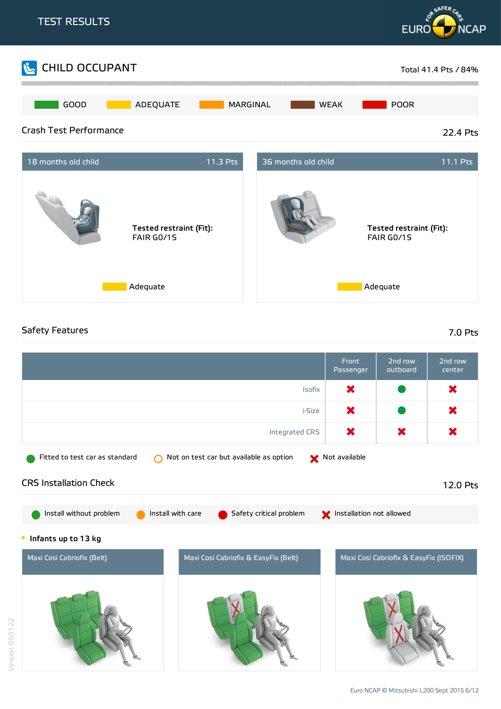

### Safety Features 7.0 Pts

Version 050122

|                                                                           | Front<br>Passenger       | 2nd row<br>outboard                    | 2nd row<br>center |
|---------------------------------------------------------------------------|--------------------------|----------------------------------------|-------------------|
| Isofix                                                                    | ×                        |                                        | ×                 |
| i-Size                                                                    | ×                        |                                        | ×                 |
| <b>Integrated CRS</b>                                                     | ×                        | ×                                      | ×                 |
| Not on test car but available as option<br>Fitted to test car as standard | Not available            |                                        |                   |
| <b>CRS Installation Check</b>                                             |                          |                                        | 12.0 Pts          |
| Install without problem<br>Install with care<br>Safety critical problem   | Installation not allowed |                                        |                   |
| Infants up to 13 kg<br>Щ                                                  |                          |                                        |                   |
| Maxi Cosi Cabriofix (Belt)<br>Maxi Cosi Cabriofix & EasyFix (Belt)        |                          | Maxi Cosi Cabriofix & EasyFix (ISOFIX) |                   |
|                                                                           |                          |                                        |                   |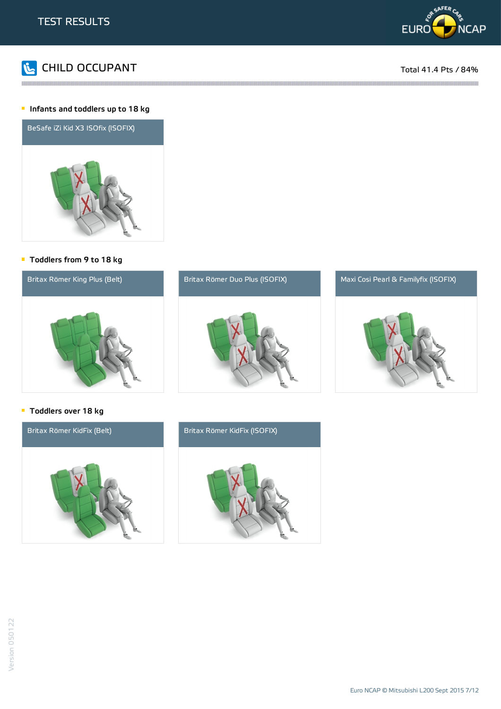



::::::

#### **Infants and toddlers up to 18 kg**



#### Toddlers from 9 to 18 kg



and the contract of the contract of the contract of the contract of the contract of the contract of the contract of the contract of the contract of the contract of the contract of the contract of the contract of the contra

### **Toddlers over 18 kg**

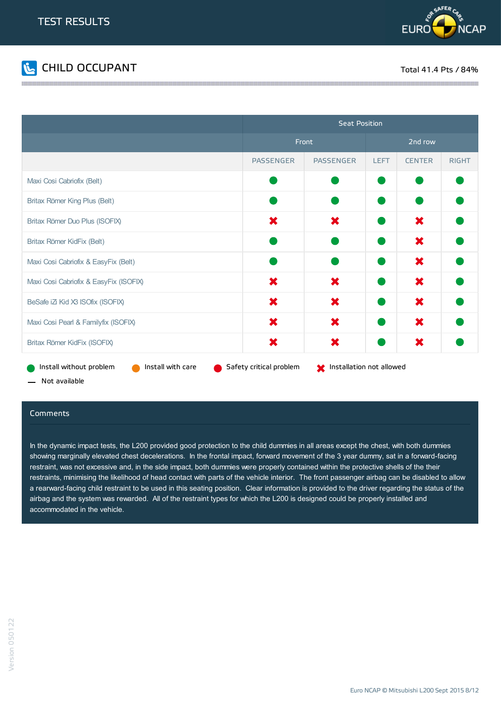



<u> 1989 - Jan Barnett, fransk fotballsk politik (</u>

|                                              | <b>Seat Position</b>    |                                            |             |               |              |
|----------------------------------------------|-------------------------|--------------------------------------------|-------------|---------------|--------------|
|                                              | Front                   |                                            | 2nd row     |               |              |
|                                              | <b>PASSENGER</b>        | <b>PASSENGER</b>                           | <b>LEFT</b> | <b>CENTER</b> | <b>RIGHT</b> |
| Maxi Cosi Cabriofix (Belt)                   |                         |                                            |             |               |              |
| Britax Römer King Plus (Belt)                |                         |                                            |             |               |              |
| Britax Römer Duo Plus (ISOFIX)               | ×                       | ×                                          |             | ×             |              |
| Britax Römer KidFix (Belt)                   |                         |                                            |             | ×             |              |
| Maxi Cosi Cabriofix & EasyFix (Belt)         |                         |                                            |             | ×             |              |
| Maxi Cosi Cabriofix & EasyFix (ISOFIX)       | ×                       | ×                                          |             | ×             |              |
| BeSafe iZ Kid X3 ISOfix (ISOFIX)             | ×                       | ×                                          |             | ×             |              |
| Maxi Cosi Pearl & Familyfix (ISOFIX)         | ×                       | ×                                          |             | ×             |              |
| Britax Römer KidFix (ISOFIX)                 | ×                       | ×                                          |             | ×             |              |
| Install without problem<br>Install with care | Safety critical problem | <b>Manufather</b> Installation not allowed |             |               |              |

- Not available

#### Comments

In the dynamic impact tests, the L200 provided good protection to the child dummies in all areas except the chest, with both dummies showing marginally elevated chest decelerations. In the frontal impact, forward movement of the 3 year dummy, sat in a forward-facing restraint, was not excessive and, in the side impact, both dummies were properly contained within the protective shells of the their restraints, minimising the likelihood of head contact with parts of the vehicle interior. The front passenger airbag can be disabled to allow a rearward-facing child restraint to be used in this seating position. Clear information is provided to the driver regarding the status of the airbag and the system was rewarded. All of the restraint types for which the L200 is designed could be properly installed and accommodated in the vehicle.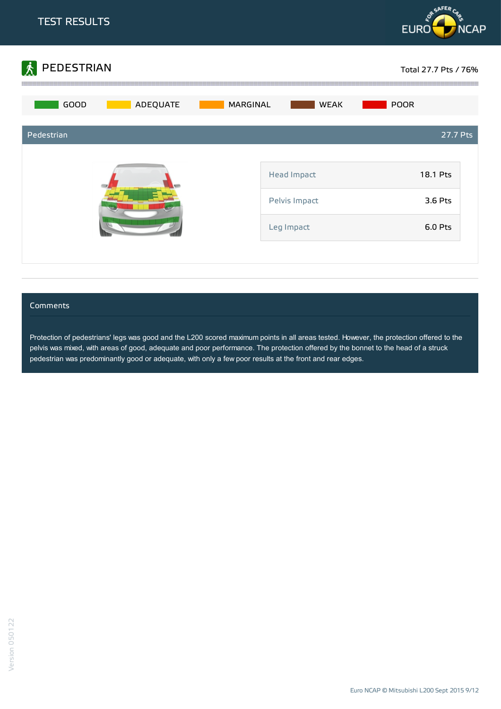



#### **Comments**

Protection of pedestrians' legs was good and the L200 scored maximum points in all areas tested. However, the protection offered to the pelvis was mixed, with areas of good, adequate and poor performance. The protection offered by the bonnet to the head of a struck pedestrian was predominantly good or adequate, with only a few poor results at the front and rear edges.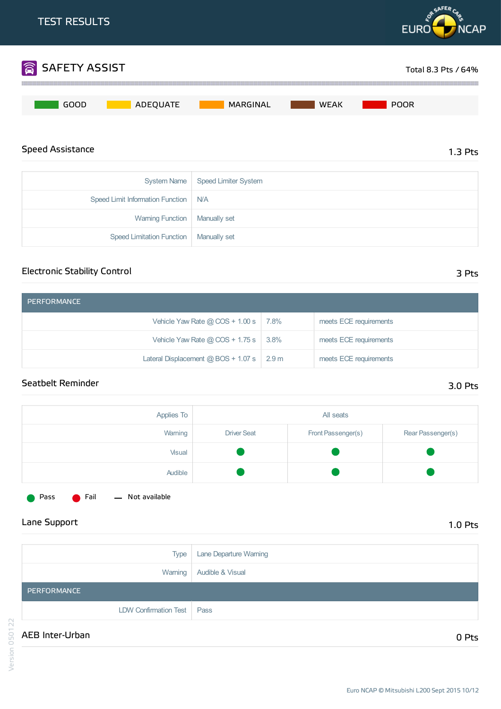

### Electronic Stability Control

| PERFORMANCE                                  |                  |                        |
|----------------------------------------------|------------------|------------------------|
| Vehicle Yaw Rate $@$ COS + 1.00 s $  7.8\%$  |                  | meets ECE requirements |
| Vehicle Yaw Rate @ COS + 1.75 s $\vert$ 3.8% |                  | meets ECE requirements |
| Lateral Displacement $@$ BOS + 1.07 s $ $    | 2.9 <sub>m</sub> | meets ECE requirements |

### Seatbelt Reminder 3.0 Pts

| Applies To | All seats          |                    |                   |
|------------|--------------------|--------------------|-------------------|
| Warning    | <b>Driver Seat</b> | Front Passenger(s) | Rear Passenger(s) |
| Visual     |                    |                    |                   |
| Audible    |                    |                    |                   |



Pass **C** Fail - Not available

| Type                         | Lane Departure Warning      |
|------------------------------|-----------------------------|
| Warning                      | <b>Audible &amp; Visual</b> |
| PERFORMANCE                  |                             |
| <b>LDW Confirmation Test</b> | Pass                        |
| AEB Inter-Urban              | 0 Pts                       |

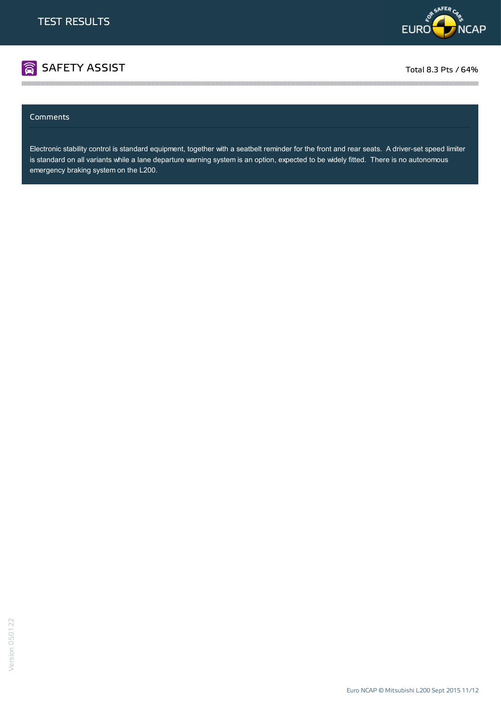

# SAFETY ASSIST TOTAL RESERVED FOR A STRIKE TO A STRIKE A STRIKE AND TOTAL RESERVED FOR A STRIKE TO A STRIKE TO A

#### Comments

Electronic stability control is standard equipment, together with a seatbelt reminder for the front and rear seats. A driver-set speed limiter is standard on all variants while a lane departure warning system is an option, expected to be widely fitted. There is no autonomous emergency braking system on the L200.